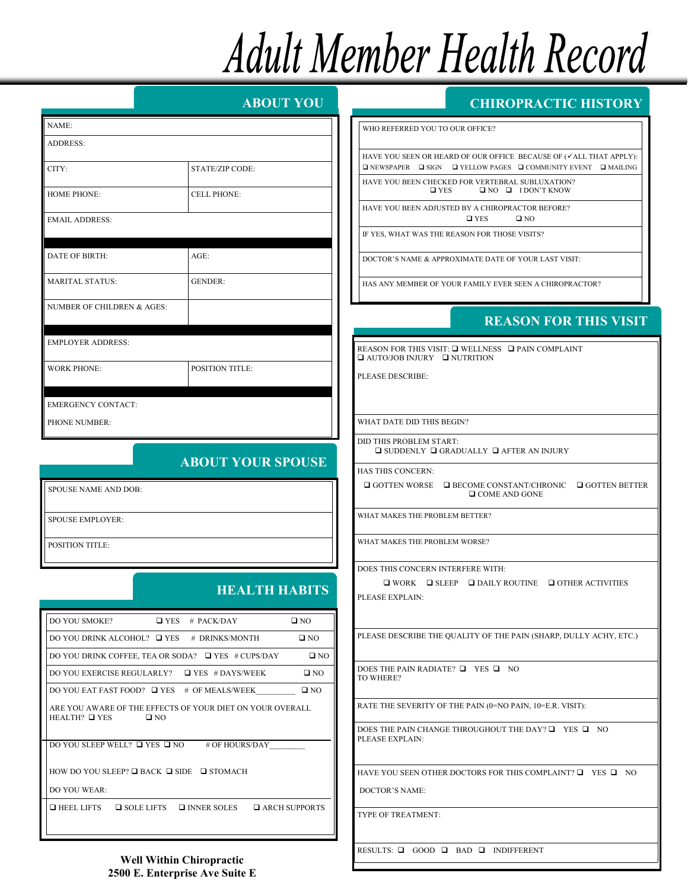# **Adult Member Health Record**

|                                                            |                                                                           | <b>ABOUT YOU</b>             |  |
|------------------------------------------------------------|---------------------------------------------------------------------------|------------------------------|--|
| NAME:                                                      |                                                                           |                              |  |
| ADDRESS:                                                   |                                                                           |                              |  |
| CITY:                                                      | STATE/ZIP CODE:                                                           |                              |  |
| <b>HOME PHONE:</b>                                         | <b>CELL PHONE:</b>                                                        |                              |  |
| <b>EMAIL ADDRESS:</b>                                      |                                                                           |                              |  |
| DATE OF BIRTH:                                             | $AGE$ :                                                                   |                              |  |
| <b>MARITAL STATUS:</b>                                     | <b>GENDER:</b>                                                            |                              |  |
| NUMBER OF CHILDREN & AGES:                                 |                                                                           |                              |  |
| <b>EMPLOYER ADDRESS:</b>                                   |                                                                           |                              |  |
| <b>WORK PHONE:</b>                                         | <b>POSITION TITLE:</b>                                                    |                              |  |
| <b>EMERGENCY CONTACT:</b><br>PHONE NUMBER:                 |                                                                           |                              |  |
| <b>ABOUT YOUR SPOUSE</b>                                   |                                                                           |                              |  |
| SPOUSE NAME AND DOB:                                       |                                                                           |                              |  |
| <b>SPOUSE EMPLOYER:</b>                                    |                                                                           |                              |  |
| <b>POSITION TITLE:</b>                                     |                                                                           |                              |  |
|                                                            | <b>HEALTH HABITS</b>                                                      |                              |  |
| DO YOU SMOKE?                                              | $\Box$ YES # PACK/DAY                                                     | $\square$ NO                 |  |
| DO YOU DRINK ALCOHOL? □ YES # DRINKS/MONTH<br>$\square$ NO |                                                                           |                              |  |
|                                                            |                                                                           |                              |  |
|                                                            | DO YOU DRINK COFFEE, TEA OR SODA? □ YES # CUPS/DAY                        | $\square$ NO                 |  |
|                                                            | DO YOU EXERCISE REGULARLY? □ YES #DAYS/WEEK                               | $\square$ NO                 |  |
|                                                            | DO YOU EAT FAST FOOD? $\Box$ YES # OF MEALS/WEEK                          | $\Box$ NO                    |  |
| $HEALTH?$ $QYES$                                           | ARE YOU AWARE OF THE EFFECTS OF YOUR DIET ON YOUR OVERALL<br>$\square$ NO |                              |  |
|                                                            | DO YOU SLEEP WELL? $\Box$ YES $\Box$ NO # OF HOURS/DAY                    |                              |  |
|                                                            | HOW DO YOU SLEEP? $\Box$ BACK $\Box$ SIDE $\Box$ STOMACH                  |                              |  |
| DO YOU WEAR:<br>$\Box$ HEEL LIFTS                          | $\Box$ SOLE LIFTS $\Box$ INNER SOLES                                      | <b>EXAMPLE ARCH SUPPORTS</b> |  |

#### **CHIROPRACTIC HISTORY**

**CHIROPRACTIC EXPERIENCE** WHO REFERRED YOU TO OUR OFFICE?

HAVE YOU SEEN OR HEARD OF OUR OFFICE BECAUSE OF (VALL THAT APPLY): NEWSPAPER SIGN YELLOW PAGES COMMUNITY EVENT MAILING HAVE YOU BEEN CHECKED FOR VERTEBRAL SUBLUXATION?  $\Box$  YES  $\Box$  NO  $\Box$  I DON'T KNOW

HAVE YOU BEEN ADJUSTED BY A CHIROPRACTOR BEFORE?  $\Box$  YES  $\Box$  NO

IF YES, WHAT WAS THE REASON FOR THOSE VISITS?

DOCTOR'S NAME & APPROXIMATE DATE OF YOUR LAST VISIT:

HAS ANY MEMBER OF YOUR FAMILY EVER SEEN A CHIROPRACTOR?

## **REASON FOR THIS VISIT REASON FOR THIS VISIT**

REASON FOR THIS VISIT:  $\square$  WELLNESS  $\square$  PAIN COMPLAINT  $\Box$  AUTO/JOB INJURY  $\Box$  NUTRITION

PLEASE DESCRIBE:

WHAT DATE DID THIS BEGIN?

DID THIS PROBLEM START:  $\square$  SUDDENLY  $\square$  GRADUALLY  $\square$  AFTER AN INJURY

HAS THIS CONCERN:

 $\Box$  GOTTEN WORSE  $\Box$  BECOME CONSTANT/CHRONIC  $\Box$  GOTTEN BETTER  $\Box$  COME AND GONE

WHAT MAKES THE PROBLEM BETTER?

WHAT MAKES THE PROBLEM WORSE?

DOES THIS CONCERN INTERFERE WITH:

 $\square$  WORK  $\square$  SLEEP  $\square$  DAILY ROUTINE  $\square$  OTHER ACTIVITIES PLEASE EXPLAIN:

PLEASE DESCRIBE THE QUALITY OF THE PAIN (SHARP, DULLY ACHY, ETC.)

DOES THE PAIN RADIATE?  $\Box$  YES  $\Box$  NO TO WHERE?

**SUPPLEMENTS** YOU TAKE YOU TAKE YOU TAKE YOU TAKE YOU TAKE YOU TAKE YOU TAKE YOU TAKE YOU TAKE YOU TAKE YOU TAKE YOU TAKE YOU TAKE YOU TAKE YOU TAKE YOU TAKE YOU TAKE YOU TAKE YOU TAKE YOU TAKE YOU TAKE YOU TAKE YOU TAKE Y RATE THE SEVERITY OF THE PAIN (0=NO PAIN, 10=E.R. VISIT):

DOES THE PAIN CHANGE THROUGHOUT THE DAY?  $\Box$  YES  $\Box$  NO PLEASE EXPLAIN:

HAVE YOU SEEN OTHER DOCTORS FOR THIS COMPLAINT?  $\square$  YES  $\square$  NO

DOCTOR'S NAME:

TYPE OF TREATMENT:

RESULTS:  $\Box$  GOOD  $\Box$  BAD  $\Box$  INDIFFERENT

**Well Within Chiropractic 2500 E. Enterprise Ave Suite E**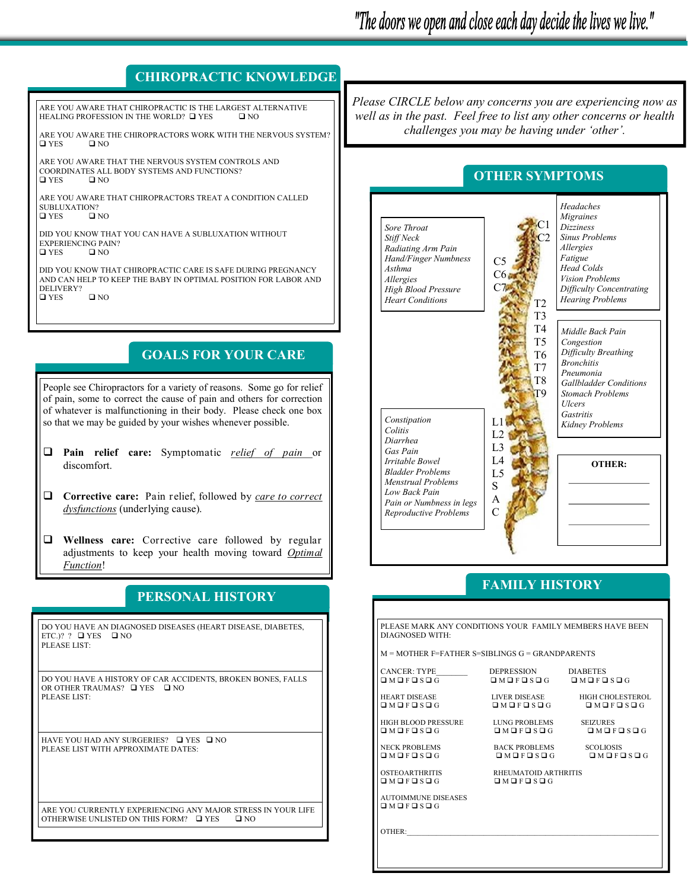#### **CHIROPRACTIC KNOWLEDGE**

ARE YOU AWARE THAT CHIROPRACTIC IS THE LARGEST ALTERNATIVE<br>HEALING PROFESSION IN THE WORLD? **O** YES **O** NO HEALING PROFESSION IN THE WORLD? OF YES

ARE YOU AWARE THE CHIROPRACTORS WORK WITH THE NERVOUS SYSTEM? YES NO

ARE YOU AWARE THAT THE NERVOUS SYSTEM CONTROLS AND COORDINATES ALL BODY SYSTEMS AND FUNCTIONS?<br> $\Box$  YES  $\Box$  NO  $\square$  YES

ARE YOU AWARE THAT CHIROPRACTORS TREAT A CONDITION CALLED SUBLUXATION?<br>  $\Box$  YES  $\Box$  NO  $\square$  YES

DID YOU KNOW THAT YOU CAN HAVE A SUBLUXATION WITHOUT EXPERIENCING PAIN?<br> $\Box$  YES  $\Box$  NO  $\square$  YES

DID YOU KNOW THAT CHIROPRACTIC CARE IS SAFE DURING PREGNANCY AND CAN HELP TO KEEP THE BABY IN OPTIMAL POSITION FOR LABOR AND DELIVERY?  $\Box$  YES  $\Box$  NO

#### **GOALS FOR YOUR CARE**

People see Chiropractors for a variety of reasons. Some go for relief of pain, some to correct the cause of pain and others for correction of whatever is malfunctioning in their body. Please check one box so that we may be guided by your wishes whenever possible.

- **Pain relief care:** Symptomatic *relief of pain* or discomfort.
- **Corrective care:** Pain relief, followed by *care to correct dysfunctions* (underlying cause).

 **Wellness care:** Corrective care followed by regular adjustments to keep your health moving toward *Optimal Function*!

#### **PERSONAL HISTORY**

DO YOU HAVE AN DIAGNOSED DISEASES (HEART DISEASE, DIABETES, ETC.)? ?  $\Box$  YES  $\Box$  NO PLEASE LIST:

DO YOU HAVE A HISTORY OF CAR ACCIDENTS, BROKEN BONES, FALLS OR OTHER TRAUMAS?  $\Box$  YES  $\Box$  NO PLEASE LIST:

HAVE YOU HAD ANY SURGERIES? I YES INO PLEASE LIST WITH APPROXIMATE DATES:

ARE YOU CURRENTLY EXPERIENCING ANY MAJOR STRESS IN YOUR LIFE OTHERWISE UNLISTED ON THIS FORM?  $\Box$  YES  $\Box$  NO OTHERWISE UNLISTED ON THIS FORM?  $\Box$  YES

*Please CIRCLE below any concerns you are experiencing now as well as in the past. Feel free to list any other concerns or health challenges you may be having under 'other'.*

#### **OTHER SYMPTOMS**



#### **FAMILY HISTORY**

| PLEASE MARK ANY CONDITIONS YOUR FAMILY MEMBERS HAVE BEEN<br>DIAGNOSED WITH: |                                                       |                                     |  |
|-----------------------------------------------------------------------------|-------------------------------------------------------|-------------------------------------|--|
| $M = MOTHER$ F=FATHER S=SIBLINGS $G = GRANDPARENTS$                         |                                                       |                                     |  |
| CANCER: TYPE________<br>OMOFOSOG                                            | DEPRESSION DIABETES<br>OMOFOSOG OMOFOSOG              |                                     |  |
| <b>HEART DISEASE</b><br>OMOFOSOG                                            | <b>LIVER DISEASE</b><br>OMOFOSOG                      | HIGH CHOLESTEROL<br>OMOFOSOG        |  |
| HIGH BLOOD PRESSURE<br>OMOFOSOG                                             | <b>LUNG PROBLEMS</b><br>O M O F O S O G               | <b>SEIZURES</b><br>OMOFOSOG         |  |
| <b>NECK PROBLEMS</b><br>$\Box M \Box F \Box S \Box G$                       | <b>BACK PROBLEMS</b><br>$\Box M \Box F \Box S \Box G$ | <b>SCOLIOSIS</b><br><b>DMOFOSOG</b> |  |
| <b>OSTEOARTHRITIS</b><br>OMOFOSOG                                           | RHEUMATOID ARTHRITIS<br>$\Box M \Box F \Box S \Box G$ |                                     |  |
| <b>AUTOIMMUNE DISEASES</b><br>OMOFOSOG                                      |                                                       |                                     |  |
| OTHER                                                                       |                                                       |                                     |  |
|                                                                             |                                                       |                                     |  |